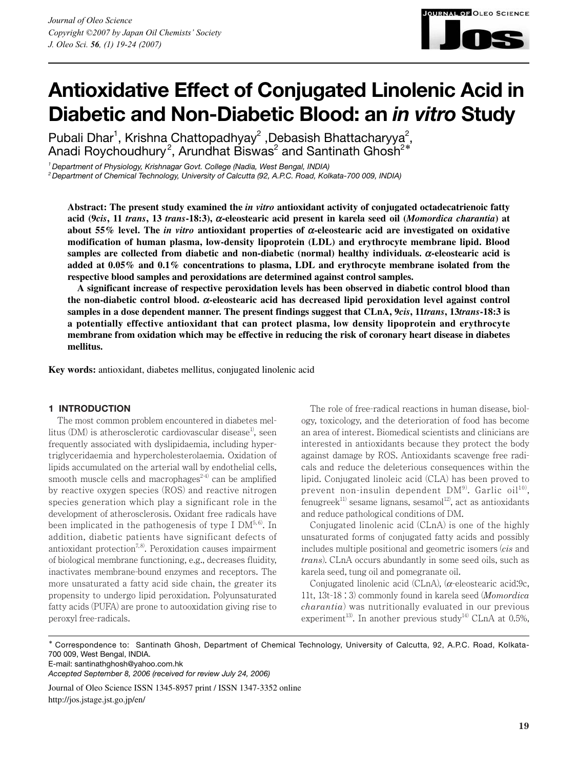

Pubali Dhar<sup>1</sup>, Krishna Chattopadhyay<sup>2</sup>, Debasish Bhattacharyya<sup>2</sup>, Anadi Roychoudhury $^2$ , Arundhat Biswas $^2$  and Santinath Ghosh $^{2\ast}$ 

*1 Department of Physiology, Krishnagar Govt. College (Nadia, West Bengal, INDIA)*

*2 Department of Chemical Technology, University of Calcutta (92, A.P.C. Road, Kolkata-700 009, INDIA)*

**Abstract: The present study examined the** *in vitro* **antioxidant activity of conjugated octadecatrienoic fatty acid (9***cis***, 11** *trans***, 13** *trans***-18:3), a-eleostearic acid present in karela seed oil (***Momordica charantia***) at about 55% level. The** *in vitro* **antioxidant properties of a-eleostearic acid are investigated on oxidative modification of human plasma, low-density lipoprotein (LDL) and erythrocyte membrane lipid. Blood samples are collected from diabetic and non-diabetic (normal) healthy individuals. a-eleostearic acid is added at 0.05% and 0.1% concentrations to plasma, LDL and erythrocyte membrane isolated from the respective blood samples and peroxidations are determined against control samples.**

**A significant increase of respective peroxidation levels has been observed in diabetic control blood than the non-diabetic control blood. a-eleostearic acid has decreased lipid peroxidation level against control samples in a dose dependent manner. The present findings suggest that CLnA, 9***cis***, 11***trans***, 13***trans***-18:3 is a potentially effective antioxidant that can protect plasma, low density lipoprotein and erythrocyte membrane from oxidation which may be effective in reducing the risk of coronary heart disease in diabetes mellitus.**

**Key words:** antioxidant, diabetes mellitus, conjugated linolenic acid

### **1 INTRODUCTION**

The most common problem encountered in diabetes mellitus  $(DM)$  is atherosclerotic cardiovascular disease<sup>1</sup>, seen frequently associated with dyslipidaemia, including hypertriglyceridaemia and hypercholesterolaemia. Oxidation of lipids accumulated on the arterial wall by endothelial cells, smooth muscle cells and macrophages<sup> $2-4)$ </sup> can be amplified by reactive oxygen species (ROS) and reactive nitrogen species generation which play a significant role in the development of atherosclerosis. Oxidant free radicals have been implicated in the pathogenesis of type I  $DM^{5,6}$ . In addition, diabetic patients have significant defects of antioxidant protection<sup>7,8)</sup>. Peroxidation causes impairment of biological membrane functioning, e.g., decreases fluidity, inactivates membrane-bound enzymes and receptors. The more unsaturated a fatty acid side chain, the greater its propensity to undergo lipid peroxidation. Polyunsaturated fatty acids (PUFA) are prone to autooxidation giving rise to peroxyl free-radicals.

The role of free-radical reactions in human disease, biology, toxicology, and the deterioration of food has become an area of interest. Biomedical scientists and clinicians are interested in antioxidants because they protect the body against damage by ROS. Antioxidants scavenge free radicals and reduce the deleterious consequences within the lipid. Conjugated linoleic acid (CLA) has been proved to prevent non-insulin dependent  $DM<sup>9</sup>$ . Garlic oil<sup>10</sup>, fenugreek<sup>11)</sup> sesame lignans, sesamol<sup>12</sup>, act as antioxidants and reduce pathological conditions of DM.

**JRNAL OF OLEO SCIENCE** 

Conjugated linolenic acid (CLnA) is one of the highly unsaturated forms of conjugated fatty acids and possibly includes multiple positional and geometric isomers (*cis* and *trans*). CLnA occurs abundantly in some seed oils, such as karela seed, tung oil and pomegranate oil.

Conjugated linolenic acid (CLnA),  $(\alpha$ -eleostearic acid:9c, 11t, 13t-18 : 3) commonly found in karela seed (*Momordica charantia*) was nutritionally evaluated in our previous experiment<sup>13</sup>. In another previous study<sup>14)</sup> CLnA at 0.5%,

\* Correspondence to: Santinath Ghosh, Department of Chemical Technology, University of Calcutta, 92, A.P.C. Road, Kolkata-700 009, West Bengal, INDIA.

E-mail: santinathghosh@yahoo.com.hk

*Accepted September 8, 2006 (received for review July 24, 2006)*

Journal of Oleo Science ISSN 1345-8957 print / ISSN 1347-3352 online http://jos.jstage.jst.go.jp/en/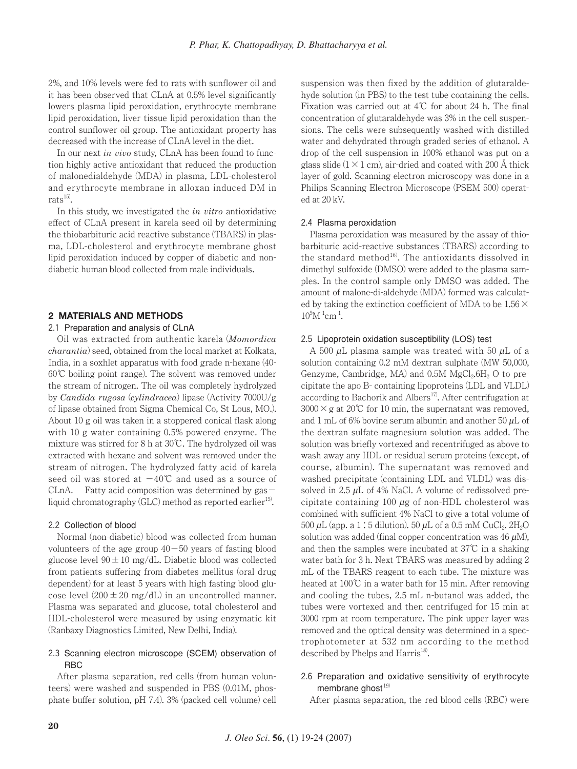2%, and 10% levels were fed to rats with sunflower oil and it has been observed that CLnA at 0.5% level significantly lowers plasma lipid peroxidation, erythrocyte membrane lipid peroxidation, liver tissue lipid peroxidation than the control sunflower oil group. The antioxidant property has decreased with the increase of CLnA level in the diet.

In our next *in vivo* study, CLnA has been found to function highly active antioxidant that reduced the production of malonedialdehyde (MDA) in plasma, LDL-cholesterol and erythrocyte membrane in alloxan induced DM in  $rats<sup>15)</sup>$ .

In this study, we investigated the *in vitro* antioxidative effect of CLnA present in karela seed oil by determining the thiobarbituric acid reactive substance (TBARS) in plasma, LDL-cholesterol and erythrocyte membrane ghost lipid peroxidation induced by copper of diabetic and nondiabetic human blood collected from male individuals.

## **2 MATERIALS AND METHODS**

### 2.1 Preparation and analysis of CLnA

Oil was extracted from authentic karela (*Momordica charantia*) seed, obtained from the local market at Kolkata, India, in a soxhlet apparatus with food grade n-hexane (40- 60℃ boiling point range). The solvent was removed under the stream of nitrogen. The oil was completely hydrolyzed by *Candida rugosa* (*cylindracea*) lipase (Activity 7000U/g of lipase obtained from Sigma Chemical Co, St Lous, MO.). About 10 g oil was taken in a stoppered conical flask along with 10 g water containing 0.5% powered enzyme. The mixture was stirred for 8 h at 30℃. The hydrolyzed oil was extracted with hexane and solvent was removed under the stream of nitrogen. The hydrolyzed fatty acid of karela seed oil was stored at  $-40^{\circ}$ C and used as a source of CLnA. Fatty acid composition was determined by gas liquid chromatography  $(GLC)$  method as reported earlier<sup>15</sup>.

## 2.2 Collection of blood

Normal (non-diabetic) blood was collected from human volunteers of the age group  $40-50$  years of fasting blood glucose level  $90 \pm 10$  mg/dL. Diabetic blood was collected from patients suffering from diabetes mellitus (oral drug dependent) for at least 5 years with high fasting blood glucose level  $(200 \pm 20 \text{ mg/dL})$  in an uncontrolled manner. Plasma was separated and glucose, total cholesterol and HDL-cholesterol were measured by using enzymatic kit (Ranbaxy Diagnostics Limited, New Delhi, India).

## 2.3 Scanning electron microscope (SCEM) observation of RBC

After plasma separation, red cells (from human volunteers) were washed and suspended in PBS (0.01M, phosphate buffer solution, pH 7.4). 3% (packed cell volume) cell suspension was then fixed by the addition of glutaraldehyde solution (in PBS) to the test tube containing the cells. Fixation was carried out at 4℃ for about 24 h. The final concentration of glutaraldehyde was 3% in the cell suspensions. The cells were subsequently washed with distilled water and dehydrated through graded series of ethanol. A drop of the cell suspension in 100% ethanol was put on a glass slide  $(1 \times 1$  cm), air-dried and coated with 200 Å thick layer of gold. Scanning electron microscopy was done in a Philips Scanning Electron Microscope (PSEM 500) operated at 20 kV.

### 2.4 Plasma peroxidation

Plasma peroxidation was measured by the assay of thiobarbituric acid-reactive substances (TBARS) according to the standard method<sup>16)</sup>. The antioxidants dissolved in dimethyl sulfoxide (DMSO) were added to the plasma samples. In the control sample only DMSO was added. The amount of malone-di-aldehyde (MDA) formed was calculated by taking the extinction coefficient of MDA to be  $1.56 \times$  $10^5M^{-1}cm^{-1}$ .

### 2.5 Lipoprotein oxidation susceptibility (LOS) test

A 500  $\mu$ L plasma sample was treated with 50  $\mu$ L of a solution containing 0.2 mM dextran sulphate (MW 50,000, Genzyme, Cambridge, MA) and  $0.5M$  MgCl<sub>2</sub>.6H<sub>2</sub> O to precipitate the apo B- containing lipoproteins (LDL and VLDL) according to Bachorik and Albers<sup>17</sup>. After centrifugation at  $3000 \times g$  at 20°C for 10 min, the supernatant was removed, and 1 mL of 6% bovine serum albumin and another 50  $\mu$ L of the dextran sulfate magnesium solution was added. The solution was briefly vortexed and recentrifuged as above to wash away any HDL or residual serum proteins (except, of course, albumin). The supernatant was removed and washed precipitate (containing LDL and VLDL) was dissolved in 2.5  $\mu$ L of 4% NaCl. A volume of redissolved precipitate containing 100  $\mu$ g of non-HDL cholesterol was combined with sufficient 4% NaCl to give a total volume of 500  $\mu$ L (app. a 1 : 5 dilution). 50  $\mu$ L of a 0.5 mM CuCl<sub>2</sub>. 2H<sub>2</sub>O solution was added (final copper concentration was  $46 \mu M$ ), and then the samples were incubated at 37℃ in a shaking water bath for 3 h. Next TBARS was measured by adding 2 mL of the TBARS reagent to each tube. The mixture was heated at 100℃ in a water bath for 15 min. After removing and cooling the tubes, 2.5 mL n-butanol was added, the tubes were vortexed and then centrifuged for 15 min at 3000 rpm at room temperature. The pink upper layer was removed and the optical density was determined in a spectrophotometer at 532 nm according to the method described by Phelps and Harris<sup>18)</sup>.

# 2.6 Preparation and oxidative sensitivity of erythrocyte membrane ghost<sup>19)</sup>

After plasma separation, the red blood cells (RBC) were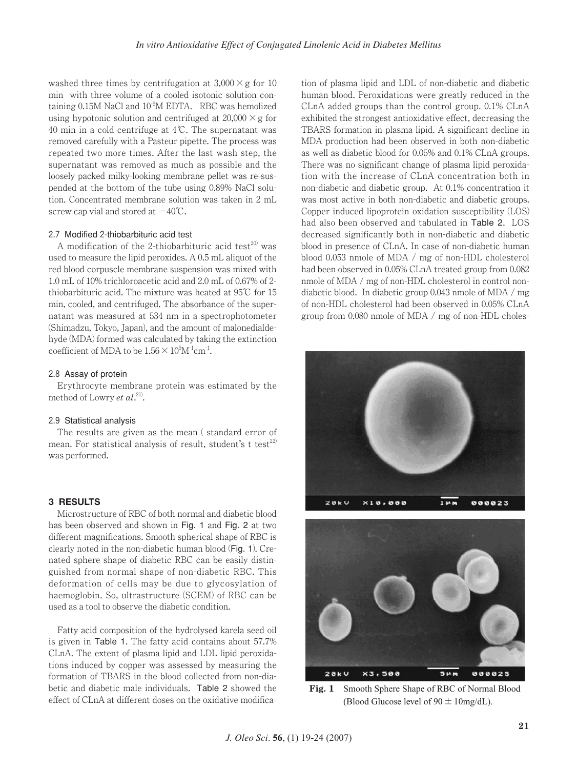washed three times by centrifugation at  $3,000 \times g$  for 10 min with three volume of a cooled isotonic solution containing 0.15M NaCl and 10<sup>-5</sup>M EDTA. RBC was hemolized using hypotonic solution and centrifuged at  $20,000 \times g$  for 40 min in a cold centrifuge at 4℃. The supernatant was removed carefully with a Pasteur pipette. The process was repeated two more times. After the last wash step, the supernatant was removed as much as possible and the loosely packed milky-looking membrane pellet was re-suspended at the bottom of the tube using 0.89% NaCl solution. Concentrated membrane solution was taken in 2 mL screw cap vial and stored at  $-40^{\circ}$ C.

# 2.7 Modified 2-thiobarbituric acid test

A modification of the 2-thiobarbituric acid test $^{20}$  was used to measure the lipid peroxides. A 0.5 mL aliquot of the red blood corpuscle membrane suspension was mixed with 1.0 mL of 10% trichloroacetic acid and 2.0 mL of 0.67% of 2 thiobarbituric acid. The mixture was heated at 95℃ for 15 min, cooled, and centrifuged. The absorbance of the supernatant was measured at 534 nm in a spectrophotometer (Shimadzu, Tokyo, Japan), and the amount of malonedialdehyde (MDA) formed was calculated by taking the extinction coefficient of MDA to be  $1.56 \times 10^5$ M<sup>-1</sup>cm<sup>-1</sup>.

### 2.8 Assay of protein

Erythrocyte membrane protein was estimated by the method of Lowry *et al.*<sup>21)</sup>.

### 2.9 Statistical analysis

The results are given as the mean ( standard error of mean. For statistical analysis of result, student's t test<sup>22)</sup> was performed.

### **3 RESULTS**

Microstructure of RBC of both normal and diabetic blood has been observed and shown in Fig. 1 and Fig. 2 at two different magnifications. Smooth spherical shape of RBC is clearly noted in the non-diabetic human blood (Fig. 1). Crenated sphere shape of diabetic RBC can be easily distinguished from normal shape of non-diabetic RBC. This deformation of cells may be due to glycosylation of haemoglobin. So, ultrastructure (SCEM) of RBC can be used as a tool to observe the diabetic condition.

Fatty acid composition of the hydrolysed karela seed oil is given in Table 1. The fatty acid contains about 57.7% CLnA. The extent of plasma lipid and LDL lipid peroxidations induced by copper was assessed by measuring the formation of TBARS in the blood collected from non-diabetic and diabetic male individuals. Table 2 showed the effect of CLnA at different doses on the oxidative modification of plasma lipid and LDL of non-diabetic and diabetic human blood. Peroxidations were greatly reduced in the CLnA added groups than the control group. 0.1% CLnA exhibited the strongest antioxidative effect, decreasing the TBARS formation in plasma lipid. A significant decline in MDA production had been observed in both non-diabetic as well as diabetic blood for 0.05% and 0.1% CLnA groups. There was no significant change of plasma lipid peroxidation with the increase of CLnA concentration both in non-diabetic and diabetic group. At 0.1% concentration it was most active in both non-diabetic and diabetic groups. Copper induced lipoprotein oxidation susceptibility (LOS) had also been observed and tabulated in Table 2. LOS decreased significantly both in non-diabetic and diabetic blood in presence of CLnA. In case of non-diabetic human blood 0.053 nmole of MDA / mg of non-HDL cholesterol had been observed in 0.05% CLnA treated group from 0.082 nmole of MDA / mg of non-HDL cholesterol in control nondiabetic blood. In diabetic group 0.043 nmole of MDA / mg of non-HDL cholesterol had been observed in 0.05% CLnA group from 0.080 nmole of MDA / mg of non-HDL choles-





**Fig. 1** Smooth Sphere Shape of RBC of Normal Blood (Blood Glucose level of  $90 \pm 10$ mg/dL).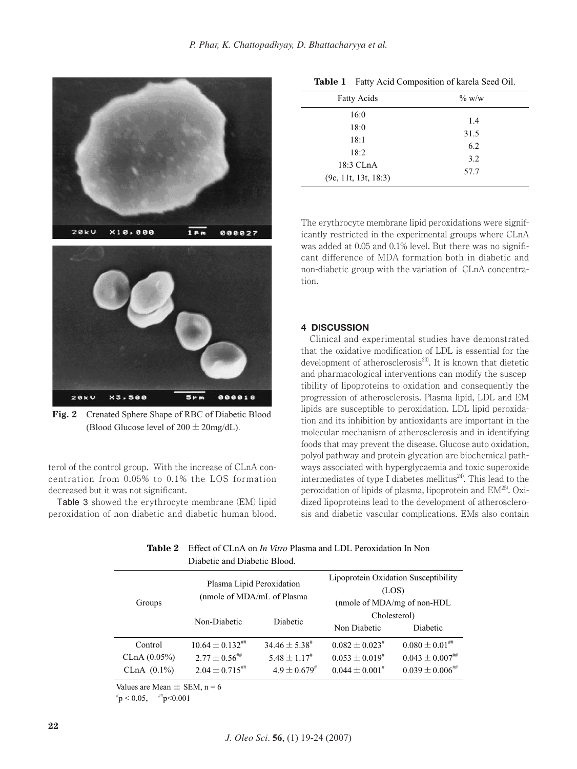

**Fig. 2** Crenated Sphere Shape of RBC of Diabetic Blood (Blood Glucose level of  $200 \pm 20$ mg/dL).

terol of the control group. With the increase of CLnA concentration from 0.05% to 0.1% the LOS formation decreased but it was not significant.

Table 3 showed the erythrocyte membrane (EM) lipid peroxidation of non-diabetic and diabetic human blood.

| <b>Fatty Acids</b>                | $\%$ w/w    |
|-----------------------------------|-------------|
| 16:0                              | 1.4         |
| 18:0<br>18:1                      | 31.5<br>6.2 |
| 18:2                              | 3.2         |
| 18:3 CLnA<br>(9c, 11t, 13t, 18:3) | 57.7        |

**Table 1** Fatty Acid Composition of karela Seed Oil.

The erythrocyte membrane lipid peroxidations were significantly restricted in the experimental groups where CLnA was added at 0.05 and 0.1% level. But there was no significant difference of MDA formation both in diabetic and non-diabetic group with the variation of CLnA concentration.

## **4 DISCUSSION**

Clinical and experimental studies have demonstrated that the oxidative modification of LDL is essential for the development of atherosclerosis<sup>23)</sup>. It is known that dietetic and pharmacological interventions can modify the susceptibility of lipoproteins to oxidation and consequently the progression of atherosclerosis. Plasma lipid, LDL and EM lipids are susceptible to peroxidation. LDL lipid peroxidation and its inhibition by antioxidants are important in the molecular mechanism of atherosclerosis and in identifying foods that may prevent the disease. Glucose auto oxidation, polyol pathway and protein glycation are biochemical pathways associated with hyperglycaemia and toxic superoxide intermediates of type I diabetes mellitus<sup>24)</sup>. This lead to the peroxidation of lipids of plasma, lipoprotein and  $EM^{25}$ . Oxidized lipoproteins lead to the development of atherosclerosis and diabetic vascular complications. EMs also contain

|              | Diabetic and Diabetic Diobu.                             |                              |                                                                              |                                 |
|--------------|----------------------------------------------------------|------------------------------|------------------------------------------------------------------------------|---------------------------------|
| Groups       | Plasma Lipid Peroxidation<br>(nmole of MDA/mL of Plasma) |                              | Lipoprotein Oxidation Susceptibility<br>(LOS)<br>(nmole of MDA/mg of non-HDL |                                 |
|              | Non-Diabetic                                             | Diabetic                     | Cholesterol)<br>Non Diabetic                                                 | Diabetic                        |
| Control      | $10.64 \pm 0.132$ <sup>##</sup>                          | $34.46 \pm 5.38^{\text{*}}$  | $0.082 \pm 0.023$ <sup>#</sup>                                               | $0.080 \pm 0.01$ ##             |
| CLnA (0.05%) | $2.77 \pm 0.56$                                          | $5.48 \pm 1.17$ <sup>#</sup> | $0.053 \pm 0.019$ <sup>#</sup>                                               | $0.043 \pm 0.007^{***}$         |
| CLnA (0.1%)  | $2.04 \pm 0.715^{***}$                                   | $4.9 \pm 0.679^{*}$          | $0.044 \pm 0.001$ <sup>#</sup>                                               | $0.039 \pm 0.006^{ \text{\#H}}$ |

| <b>Table 2</b> Effect of CLnA on <i>In Vitro</i> Plasma and LDL Peroxidation In Non |
|-------------------------------------------------------------------------------------|
| Diabetic and Diabetic Blood.                                                        |

Values are Mean  $\pm$  SEM, n = 6

 $~^{\#}p$  < 0.05,  $~^{\#}p$  < 0.001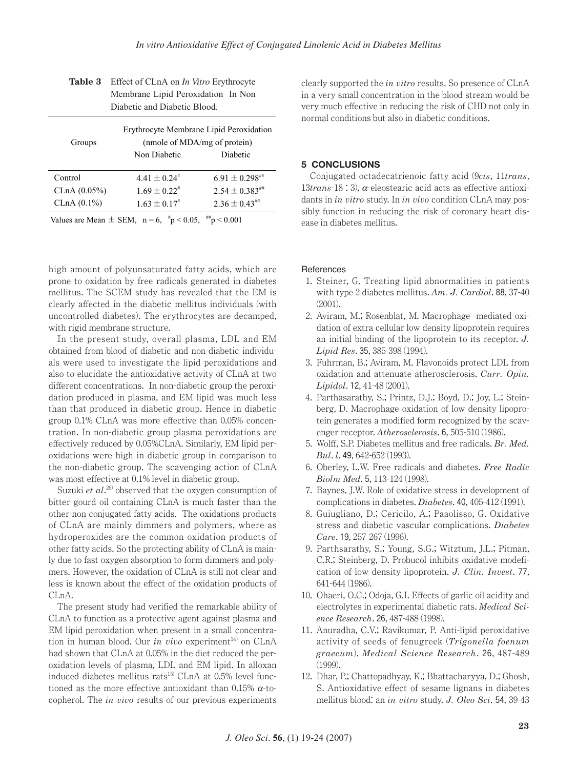|                                         | Membrane Lipid Peroxidation In Non |                                |  |  |
|-----------------------------------------|------------------------------------|--------------------------------|--|--|
|                                         | Diabetic and Diabetic Blood.       |                                |  |  |
| Erythrocyte Membrane Lipid Peroxidation |                                    |                                |  |  |
| Groups                                  |                                    | (nmole of MDA/mg of protein)   |  |  |
|                                         | Non Diabetic                       | Diabetic                       |  |  |
| Control                                 | $4.41 \pm 0.24$ <sup>#</sup>       | $6.91 \pm 0.298$               |  |  |
|                                         |                                    |                                |  |  |
| CLnA (0.05%)                            | $1.69 \pm 0.22$ <sup>#</sup>       | $2.54 \pm 0.383$ <sup>##</sup> |  |  |
| CLnA (0.1%)                             | $1.63 \pm 0.17$ <sup>#</sup>       | $2.36 \pm 0.43$                |  |  |
| $\frac{1}{2}$ = 0.001<br>$\frac{1}{2}$  |                                    |                                |  |  |

| <b>Table 3</b> Effect of CLnA on <i>In Vitro</i> Erythrocyte |  |
|--------------------------------------------------------------|--|
| Membrane Lipid Peroxidation In Non                           |  |
| Diabetic and Diabetic Blood.                                 |  |

Values are Mean  $\pm$  SEM, n = 6, "p < 0.05,  $m < 0.001$ 

high amount of polyunsaturated fatty acids, which are prone to oxidation by free radicals generated in diabetes mellitus. The SCEM study has revealed that the EM is clearly affected in the diabetic mellitus individuals (with uncontrolled diabetes). The erythrocytes are decamped, with rigid membrane structure.

In the present study, overall plasma, LDL and EM obtained from blood of diabetic and non-diabetic individuals were used to investigate the lipid peroxidations and also to elucidate the antioxidative activity of CLnA at two different concentrations. In non-diabetic group the peroxidation produced in plasma, and EM lipid was much less than that produced in diabetic group. Hence in diabetic group 0.1% CLnA was more effective than 0.05% concentration. In non-diabetic group plasma peroxidations are effectively reduced by 0.05%CLnA. Similarly, EM lipid peroxidations were high in diabetic group in comparison to the non-diabetic group. The scavenging action of CLnA was most effective at 0.1% level in diabetic group.

Suzuki *et al.*<sup>26</sup> observed that the oxygen consumption of bitter gourd oil containing CLnA is much faster than the other non conjugated fatty acids. The oxidations products of CLnA are mainly dimmers and polymers, where as hydroperoxides are the common oxidation products of other fatty acids. So the protecting ability of CLnA is mainly due to fast oxygen absorption to form dimmers and polymers. However, the oxidation of CLnA is still not clear and less is known about the effect of the oxidation products of CLnA.

The present study had verified the remarkable ability of CLnA to function as a protective agent against plasma and EM lipid peroxidation when present in a small concentration in human blood. Our *in vivo* experiment<sup>14)</sup> on CLnA had shown that CLnA at 0.05% in the diet reduced the peroxidation levels of plasma, LDL and EM lipid. In alloxan induced diabetes mellitus rats $^{15}$  CLnA at 0.5% level functioned as the more effective antioxidant than 0.15%  $\alpha$ -tocopherol. The *in vivo* results of our previous experiments

clearly supported the *in vitro* results. So presence of CLnA in a very small concentration in the blood stream would be very much effective in reducing the risk of CHD not only in normal conditions but also in diabetic conditions.

# **5 CONCLUSIONS**

Conjugated octadecatrienoic fatty acid (9*cis*, 11*trans*, 13*trans*-18 : 3), a-eleostearic acid acts as effective antioxidants in *in vitro* study. In *in vivo* condition CLnA may possibly function in reducing the risk of coronary heart disease in diabetes mellitus.

# **References**

- 1. Steiner, G. Treating lipid abnormalities in patients with type 2 diabetes mellitus. *Am. J. Cardiol*. 88, 37-40 (2001).
- 2. Aviram, M.; Rosenblat, M. Macrophage -mediated oxidation of extra cellular low density lipoprotein requires an initial binding of the lipoprotein to its receptor. *J. Lipid Res*. 35, 385-398 (1994).
- 3. Fuhrman, B.; Aviram, M. Flavonoids protect LDL from oxidation and attenuate atherosclerosis. *Curr. Opin. Lipidol*. 12, 41-48 (2001).
- 4. Parthasarathy, S.; Printz, D.J.; Boyd, D.; Joy, L.; Steinberg, D. Macrophage oxidation of low density lipoprotein generates a modified form recognized by the scavenger receptor. *Atherosclerosis*. 6, 505-510 (1986).
- 5. Wolff, S.P. Diabetes mellitus and free radicals. *Br. Med. Bul*. *l*. 49, 642-652 (1993).
- 6. Oberley, L.W. Free radicals and diabetes. *Free Radic Biolm Med*. 5, 113-124 (1998).
- 7. Baynes, J.W. Role of oxidative stress in development of complications in diabetes. *Diabetes*. 40, 405-412 (1991).
- 8. Guiugliano, D.; Cericilo, A.; Paaolisso, G. Oxidative stress and diabetic vascular complications. *Diabetes Care*. 19, 257-267 (1996).
- 9. Parthsarathy, S.; Young, S.G.; Witztum, J.L.; Pitman, C.R.; Steinberg, D. Probucol inhibits oxidative modefication of low density lipoprotein. *J. Clin. Invest*. 77, 641-644 (1986).
- 10. Ohaeri, O.C.; Odoja, G.I. Effects of garlic oil acidity and electrolytes in experimental diabetic rats. *Medical Science Research*. 26, 487-488 (1998).
- 11. Anuradha, C.V.; Ravikumar, P. Anti-lipid peroxidative activity of seeds of fenugreek (*Trigonella foenum graecum*). *Medical Science Research*. 26, 487-489 (1999).
- 12. Dhar, P.; Chattopadhyay, K.; Bhattacharyya, D.; Ghosh, S. Antioxidative effect of sesame lignans in diabetes mellitus blood: an *in vitro* study. *J. Oleo Sci*. 54, 39-43